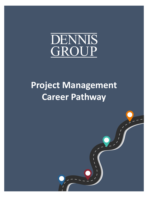

## **Project Management Career Pathway**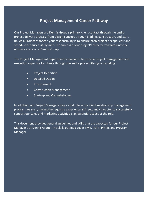### **Project Management Career Pathway**

Our Project Managers are Dennis Group's primary client contact through the entire project delivery process, from design concept through bidding, construction, and startup. As a Project Manager, your responsibility is to ensure each project's scope, cost and schedule are successfully met. The success of our project's directly translates into the ultimate success of Dennis Group.

The Project Management department's mission is to provide project management and execution expertise for clients through the entire project life-cycle including:

- Project Definition
- Detailed Design
- Procurement
- Construction Management
- Start-up and Commissioning

In addition, our Project Managers play a vital role in our client relationship management program. As such, having the requisite experience, skill set, and character to successfully support our sales and marketing activities is an essential aspect of the role.

This document provides general guidelines and skills that are expected for our Project Manager's at Dennis Group. The skills outlined cover PM I, PM II, PM III, and Program Manager.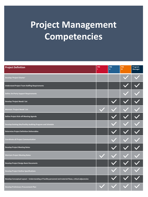# **Project Management Competencies**

| <b>Project Definition</b>                                                                                | PM | PM<br>ш | PM<br>Ш | Program<br>Manager |
|----------------------------------------------------------------------------------------------------------|----|---------|---------|--------------------|
| Develop 'Project Charter'                                                                                |    |         |         |                    |
| <b>Understand Project Team Staffing Requirements</b>                                                     |    |         |         |                    |
| <b>Define 3rd Party Support Requirements</b>                                                             |    |         |         |                    |
| Develop 'Project Needs' List                                                                             |    |         |         |                    |
| <b>Maintain 'Project Needs' List</b>                                                                     |    |         |         |                    |
| Define Project Kick-off Meeting Agenda                                                                   |    |         |         |                    |
| Develop Existing Site/Facility Auditing Program and Schedule                                             |    |         |         |                    |
| <b>Determine Project Definition Deliverables</b>                                                         |    |         |         |                    |
| <b>Coordinate all Project Communication</b>                                                              |    |         |         |                    |
| <b>Develop Project Meeting Notes</b>                                                                     |    |         |         |                    |
| <b>Maintain Project Meeting Notes</b>                                                                    |    |         |         |                    |
| <b>Develop Project Design Basis Documents</b>                                                            |    |         |         |                    |
| <b>Develop Project Outline Specifications</b>                                                            |    |         |         |                    |
| Develop Conceptual Layout - Understanding of Facility personnel and material flows, critical adjacencies |    |         |         |                    |
| <b>Develop Preliminary Procurement Plan</b>                                                              |    |         |         |                    |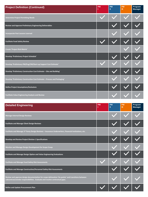| <b>Project Definition (Continued)</b>                                    | PM | <b>PM</b><br>п | PM<br>Ш | Program<br>Manager |
|--------------------------------------------------------------------------|----|----------------|---------|--------------------|
| <b>Determine Project Permitting Needs</b>                                |    |                |         |                    |
| Review and Approve Preliminary Engineering Deliverables                  |    |                |         |                    |
| <b>Incorporate Past Lessons Learned</b>                                  |    |                |         |                    |
| <b>Facilitate Food Safety Review</b>                                     |    |                |         |                    |
| Create 'Project Risk Matrix'                                             |    |                |         |                    |
| Develop 'Preliminary Project Schedule'                                   |    |                |         |                    |
| Develop 'Preliminary PM/Eng/CM/Start-up Support Cost Estimate'           |    |                |         |                    |
| Develop 'Preliminary Construction Cost Estimate - Site and Building'     |    |                |         |                    |
| Develop 'Preliminary Construction Cost Estimate - Process and Packaging' |    |                |         |                    |
| <b>Define Project Assumptions/Exclusions</b>                             |    |                |         |                    |
| <b>Facilitate Value Engineering Analysis and Review</b>                  |    |                |         |                    |

| <b>Detailed Engineering</b>                                                                                                                                                       | PM | <b>PM</b><br>Ш | <b>PM</b><br>Ш | Program<br><b>Manager</b> |
|-----------------------------------------------------------------------------------------------------------------------------------------------------------------------------------|----|----------------|----------------|---------------------------|
| <b>Manage Internal Design Reviews</b>                                                                                                                                             |    |                |                |                           |
| <b>Facilitate and Manage Client Design Reviews</b>                                                                                                                                |    |                |                |                           |
| Facilitate and Manage 3 <sup>rd</sup> Party Design Reviews - Insurance Underwriters, Financial Institutions, etc.                                                                 |    |                |                |                           |
| Develop and Review Project Division 1 Specifications                                                                                                                              |    |                |                |                           |
| Monitor and Manage Design Development for Scope Creep                                                                                                                             |    |                |                |                           |
| Facilitate and Manage Design Option and Value Engineering Evaluations                                                                                                             |    |                |                |                           |
| <b>Facilitate and Manage Food Safety Risk Assessments</b>                                                                                                                         |    |                |                |                           |
| Facilitate and Manage Construction/Personnel Safety Risk Assessments                                                                                                              |    |                |                |                           |
| Review and approve design documentation for scope delineation 'tie-points' and transitions between<br>subcontract/vendor responsibilities. Evaluate and resolve contractual gaps. |    |                |                |                           |
| Refine and Update Procurement Plan                                                                                                                                                |    |                |                |                           |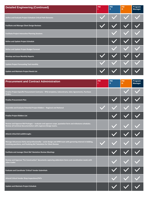| <b>Detailed Engineering (Continued)</b>                     | <b>PM</b> | <b>PM</b><br>Ш | <b>PM</b><br>Ш | Program<br><b>Manager</b> |
|-------------------------------------------------------------|-----------|----------------|----------------|---------------------------|
| Define and Evaluate Project Schedule Critical Path Elements |           |                |                |                           |
| <b>Facilitate and Manage Client Design Reviews</b>          |           |                |                |                           |
| <b>Facilitate Project Interactive Planning Sessions</b>     |           |                |                |                           |
| Refine and Update Project Schedule                          |           |                |                |                           |
| Refine and Update Project Budget Forecast                   |           |                |                |                           |
| <b>Develop and Issue Monthly Reports</b>                    |           |                |                |                           |
| <b>Update Project Forecasting Tool monthly</b>              |           |                |                |                           |
| <b>Update and Maintain Project Needs List</b>               |           |                |                |                           |

| <b>Procurement and Contract Administration</b>                                                                                                                                        | <b>PM</b> | PM<br>п | <b>PM</b><br>Ш | Program<br><b>Manager</b> |
|---------------------------------------------------------------------------------------------------------------------------------------------------------------------------------------|-----------|---------|----------------|---------------------------|
| Finalize Project Specific Procurement Contracts – RFQ templates, Subcontracts, Sales Agreements, Purchase<br>Orders                                                                   |           |         |                |                           |
| <b>Finalize Procurement Plan</b>                                                                                                                                                      |           |         |                |                           |
| Assemble and Evaluate Potential Project Bidders - Regional and National                                                                                                               |           |         |                |                           |
| <b>Finalize Project Bidders List</b>                                                                                                                                                  |           |         |                |                           |
| Review and Approve Bid Packages - evaluate and approve scope, quotation form and milestone schedules.<br>Review all technical documentation with engineer/design teams.               |           |         |                |                           |
| Attend critical bid walkthroughs                                                                                                                                                      |           |         |                |                           |
| Manage bid process fairly and professionally – assist design and APM team with garnering interest in bidding,<br>resolving questions, and finalizing Bid Tabulation for Client Review |           |         |                |                           |
| Facilitate and manage Client Bid Tabulation Review Meetings                                                                                                                           |           |         |                |                           |
| Review and Approve "For Construction" documents capturing addendum items and coordination needs with<br>other trades                                                                  |           |         |                |                           |
| <b>Evaluate and Coordinate 'Critical' Vendor Submittals</b>                                                                                                                           |           |         |                |                           |
| <b>Attend Critical Vendor Shop Inspections/FATs</b>                                                                                                                                   |           |         |                |                           |
| Update and Maintain Project Schedule                                                                                                                                                  |           |         |                |                           |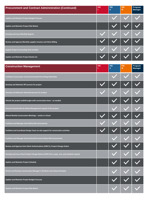| <b>Procurement and Contract Administration (Continued)</b>      | <b>PM</b> | <b>PM</b><br>Ш | <b>PM</b><br>Ш | Program<br><b>Manager</b> |
|-----------------------------------------------------------------|-----------|----------------|----------------|---------------------------|
| <b>Update and Maintain Project Budget Forecast</b>              |           |                |                |                           |
| <b>Update and Maintain Project Risk Matrix</b>                  |           |                |                |                           |
| Develop and Issue Monthly Reports                               |           |                |                |                           |
| Review and Approve Monthly supplier invoices and Client Billing |           |                |                |                           |
| <b>Update Project Forecasting Tool monthly</b>                  |           |                |                |                           |
| <b>Update and Maintain Project Needs List</b>                   |           |                |                |                           |

| <b>Construction Management</b>                                                                | <b>PM</b><br>ī | <b>PM</b><br>П. | <b>PM</b><br>m. | Program<br><b>Manager</b> |
|-----------------------------------------------------------------------------------------------|----------------|-----------------|-----------------|---------------------------|
| Facilitate Construction and Environmental Permitting Submittals                               |                |                 |                 |                           |
| Develop and Maintain RFI process for project                                                  |                |                 |                 |                           |
| Develop and Maintain Submittal process for project                                            |                |                 |                 |                           |
| Attend site project walkthroughs with construction team - as needed                           |                |                 |                 |                           |
| Oversee Construction & Safety Management aspects of the project                               |                |                 |                 |                           |
| Attend Weekly Construction Meetings - onsite or virtual                                       |                |                 |                 |                           |
| <b>Facilitate and Manage Food Safety Risk Assessments</b>                                     |                |                 |                 |                           |
| Facilitate and Coordinate Design Team on-site support for construction activities             |                |                 |                 |                           |
| Facilitate and Manage Construction/Personnel Safety Risk Assessments                          |                |                 |                 |                           |
| Review and Approve Extra Work Authorizations (EWA's), Project Change Orders                   |                |                 |                 |                           |
| Develop and Issue Client Project Change Notices (PCN's) for scope, cost, and schedule impacts |                |                 |                 |                           |
| <b>Update and Maintain Project Schedule</b>                                                   |                |                 |                 |                           |
| Directs and Reviews Construction Manager's (3) Week Look Ahead Schedule                       |                |                 |                 |                           |
| <b>Update and Maintain Project Budget Forecast</b>                                            |                |                 |                 |                           |
| <b>Update and Maintain Project Risk Matrix</b>                                                |                |                 |                 |                           |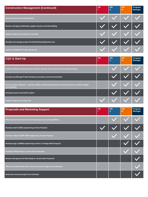| <b>Construction Management (Continued)</b>                      | <b>PM</b> | <b>PM</b><br>Ш | <b>PM</b><br>пı | Program<br><b>Manager</b> |
|-----------------------------------------------------------------|-----------|----------------|-----------------|---------------------------|
| <b>Develop and Issue Monthly Reports</b>                        |           |                |                 |                           |
| Review and Approve Monthly supplier invoices and Client Billing |           |                |                 |                           |
| <b>Update Project Forecasting Tool monthly</b>                  |           |                |                 |                           |
| Develop and manage project Punchlist/Outstanding Items List     |           |                |                 |                           |
| <b>Update and Maintain Project Needs List</b>                   |           |                |                 |                           |

| <b>CQV &amp; Start-Up</b>                                                                                                 | <b>PM</b> | <b>PM</b><br>П | <b>PM</b><br>Ш | Program<br>Manager |
|---------------------------------------------------------------------------------------------------------------------------|-----------|----------------|----------------|--------------------|
| Facilitate definition and planning of project training, start-up and commissioning activities                             |           |                |                |                    |
| Develop and Manage Project Handover procedures and documentation                                                          |           |                |                |                    |
| Oversee Project Closeout - contracts, billing, vendor/subcontractor record documents, punchlist, budget<br>reconciliation |           |                |                |                    |
| Develop Lessons Learned for project                                                                                       |           |                |                |                    |
| <b>Update Project Forecasting Tool</b>                                                                                    |           |                |                |                    |

| <b>Proposals and Marketing Support</b>                                  | <b>PM</b> | <b>PM</b><br>Ш | <b>PM</b><br>Ш | Program<br><b>Manager</b> |
|-------------------------------------------------------------------------|-----------|----------------|----------------|---------------------------|
| <b>Effectively Communicate Dennis Group Experience and Capabilities</b> |           |                |                |                           |
| Develop small (<\$50k) engineering services Proposal                    |           |                |                |                           |
| Develop medium (\$50K-200K) engineering services Proposal               |           |                |                |                           |
| Develop large (>\$300K) engineering services or Design-Build Proposal   |           |                |                |                           |
| Develop At-Risk design or construction Proposals                        |           |                |                |                           |
| Review and approve At-Risk design or construction Proposals             |           |                |                |                           |
| Effectively understands how to bid and estimate engineering manhours    |           |                |                |                           |
| Generates accurate project cost estimates                               |           |                |                |                           |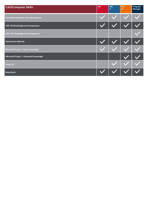| <b>CAD/Computer Skills</b>             | PM | <b>PM</b><br>Ш | PM<br>m | Program<br>Manager |
|----------------------------------------|----|----------------|---------|--------------------|
| Excel/Word/Outlook, File Management    |    |                |         |                    |
| CAD -2D Knowledge and Competence       |    |                |         |                    |
| CAD -3D Knowledge and Competence       |    |                |         |                    |
| <b>Navisworks Aptitude</b>             |    |                |         |                    |
| Microsoft Project - Basic Knowledge    |    |                |         |                    |
| Microsoft Project - Enhanced Knowledge |    |                |         |                    |
| <b>Power BI</b>                        |    |                |         |                    |
| <b>SharePoint</b>                      |    |                |         |                    |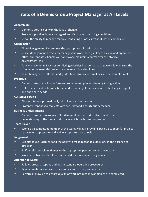### **Traits of a Dennis Group Project Manager at All Levels**

#### **Adaptability**

- $\sqrt{ }$  Demonstrates flexibility in the face of change
- $\checkmark$  Projects a positive demeanor regardless of changes in working conditions
- $\checkmark$  Shows the ability to manage multiple conflicting priorities without loss of composure

#### **Organization**

- $\checkmark$  Time Management: Determines the appropriate allocation of time
- $\checkmark$  Space Management: Effectively manages the workspace (i.e. keeps a clean and organized office, appropriately handles all paperwork, maintains control over the physical environment, etc.)
- $\checkmark$  Task Management: Balances conflicting priorities in order to manage workflow, ensure the completion of essential projects, and meet critical deadlines
- $\checkmark$  Team Management: Directs and guides teams to ensure timelines and deliverables met

#### **Proactive**

- $\checkmark$  Demonstrates the ability to foresee problems and prevent them by taking action
- $\checkmark$  Utilizes analytical skills and a broad understanding of the business to effectively interpret and anticipate needs

#### **Customer Service**

- $\checkmark$  Always interacts professionally with clients and associates
- $\checkmark$  Promptly responds to requests with accuracy and a courteous demeanor

#### **Business Understanding**

 $\checkmark$  Demonstrates an awareness of fundamental business principles as well as an understanding of the overall industry in which the business operates

#### **Team Player**

 $\checkmark$  Works as a competent member of the team, willingly providing back-up support for project team when appropriate and actively supports group goals

#### **Judgement**

- $\checkmark$  Exhibits sound judgment and the ability to make reasonable decisions in the absence of direction
- $\checkmark$  Swiftly refers problems/issues to the appropriate person(s) when necessary
- $\checkmark$  Works effectively without constant and direct supervision or guidance

#### **Attention to Detail**

- $\checkmark$  Follows process steps as outlined in standard operating procedures.
- $\checkmark$  Reviews materials to ensure they are accurate, clear, and concise.
- $\checkmark$  Performs follow-up to ensure quality of work product and/or actions are completed.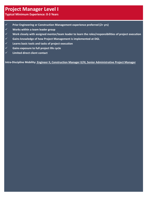## **Project Manager Level I**

**Typical Minimum Experience: 0-3 Years** 

- ✓ **Prior Engineering or Construction Management experience preferred (2+ yrs)**
- ✓ **Works within a team leader group**
- ✓ **Work closely with assigned mentor/team leader to learn the roles/responsibilities of project execution**
- ✓ **Gains knowledge of how Project Management is implemented at DGL**
- ✓ **Learns basic tools and tasks of project execution**
- ✓ **Gains exposure to full project life cycle**
- ✓ **Limited direct client contact**

**Intra-Discipline Mobility: Engineer II, Construction Manager II/III, Senior Administrative Project Manager**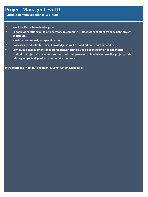## **Project Manager Level II**

**Typical Minimum Experience: 3-6 Years**

- ✓ **Works within a team leader group**
- ✓ **Capable of executing all tasks necessary to complete Project Management from design through execution.**
- ✓ **Works autonomously on specific tasks**
- ✓ **Possesses good solid technical knowledge as well as solid administerial capability**
- ✓ **Continuous improvement of comprehensive technical skills absent from prior experience**
- ✓ **Limited to Project Management support on larger projects, or lead PM on smaller projects if the primary scope is aligned with technical experience.**

**Intra-Discipline Mobility: Engineer III, Construction Manager III**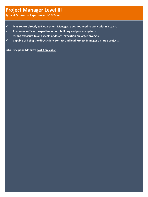## **Project Manager Level III**

**Typical Minimum Experience: 5-10 Years**

- ✓ **May report directly to Department Manager; does not need to work within a team.**
- ✓ **Possesses sufficient expertise in both building and process systems.**
- ✓ **Strong exposure to all aspects of design/execution on larger projects.**
- ✓ **Capable of being the direct client contact and lead Project Manager on large projects.**

**Intra-Discipline Mobility: Not Applicable**